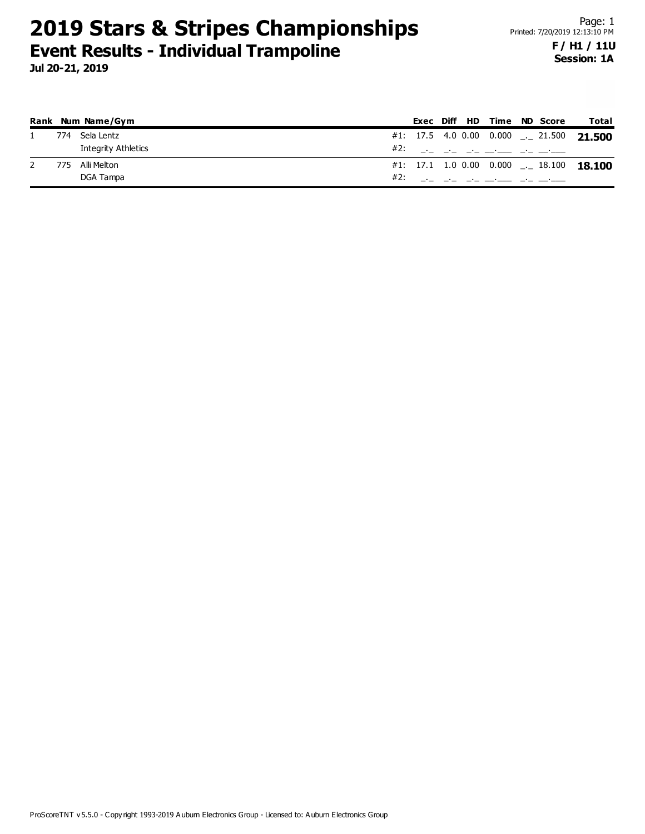## **Session: 1A**

|     | Rank Num Name/Gym   | Exec Diff HD |  | Time                                                                                                                                                                                                                                                                                                                   | <b>ND</b> Score | Total                                    |
|-----|---------------------|--------------|--|------------------------------------------------------------------------------------------------------------------------------------------------------------------------------------------------------------------------------------------------------------------------------------------------------------------------|-----------------|------------------------------------------|
| 774 | Sela Lentz          |              |  |                                                                                                                                                                                                                                                                                                                        |                 | #1: 17.5 4.0 0.00 0.000 __ 21.500 21.500 |
|     | Integrity Athletics |              |  |                                                                                                                                                                                                                                                                                                                        |                 |                                          |
| 775 | Alli Melton         |              |  |                                                                                                                                                                                                                                                                                                                        |                 | #1: 17.1 1.0 0.00 0.000 __ 18.100 18.100 |
|     | DGA Tampa           |              |  | #2: $\frac{1}{2}$ $\frac{1}{2}$ $\frac{1}{2}$ $\frac{1}{2}$ $\frac{1}{2}$ $\frac{1}{2}$ $\frac{1}{2}$ $\frac{1}{2}$ $\frac{1}{2}$ $\frac{1}{2}$ $\frac{1}{2}$ $\frac{1}{2}$ $\frac{1}{2}$ $\frac{1}{2}$ $\frac{1}{2}$ $\frac{1}{2}$ $\frac{1}{2}$ $\frac{1}{2}$ $\frac{1}{2}$ $\frac{1}{2}$ $\frac{1}{2}$ $\frac{1}{2$ |                 |                                          |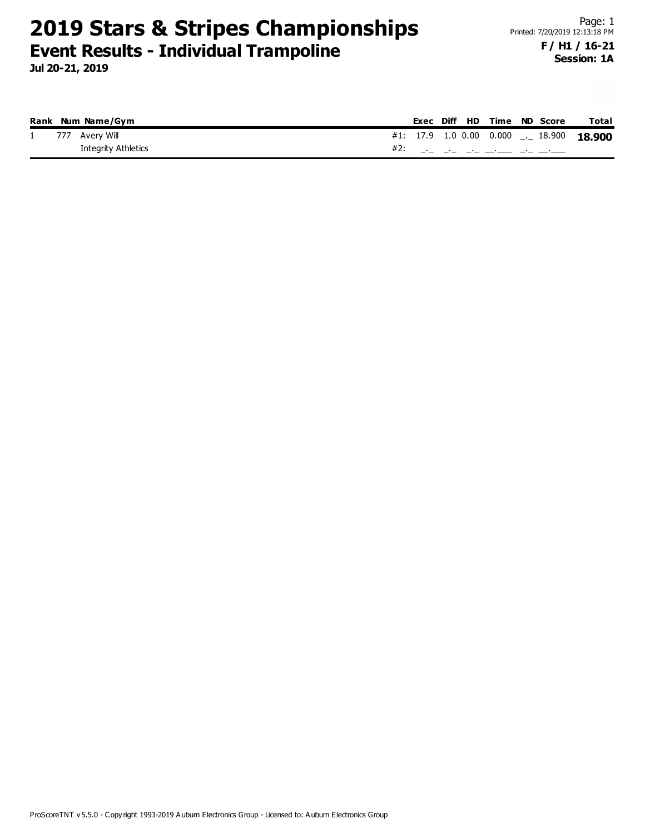## **Session: 1A**

|  | Rank Num Name/Gym          |  |  |  | Exec Diff HD Time ND Score | Total                                     |
|--|----------------------------|--|--|--|----------------------------|-------------------------------------------|
|  | 1 777 Avery Will           |  |  |  |                            | #1: 17.9 1.0 0.00 0.000 ___ 18.900 18.900 |
|  | <b>Integrity Athletics</b> |  |  |  | #2: __ __ __ __ __ __ __   |                                           |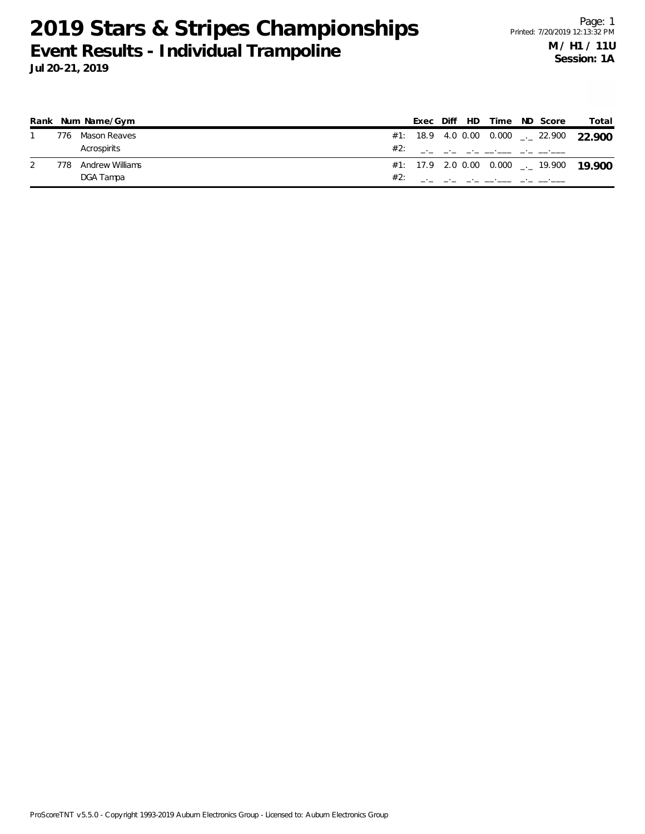|     | Rank Num Name/Gym |     | Exec |  | Diff HD Time ND Score |  | Total                                               |
|-----|-------------------|-----|------|--|-----------------------|--|-----------------------------------------------------|
| 776 | Mason Reaves      |     |      |  |                       |  | #1: 18.9 4.0 0.00 0.000 $\rightarrow$ 22.900 22.900 |
|     | Acrospirits       |     |      |  |                       |  |                                                     |
| 778 | Andrew Williams   |     |      |  |                       |  | #1: 17.9 2.0 0.00 0.000 $\ldots$ 19.900 19.900      |
|     | DGA Tampa         | #2: |      |  |                       |  |                                                     |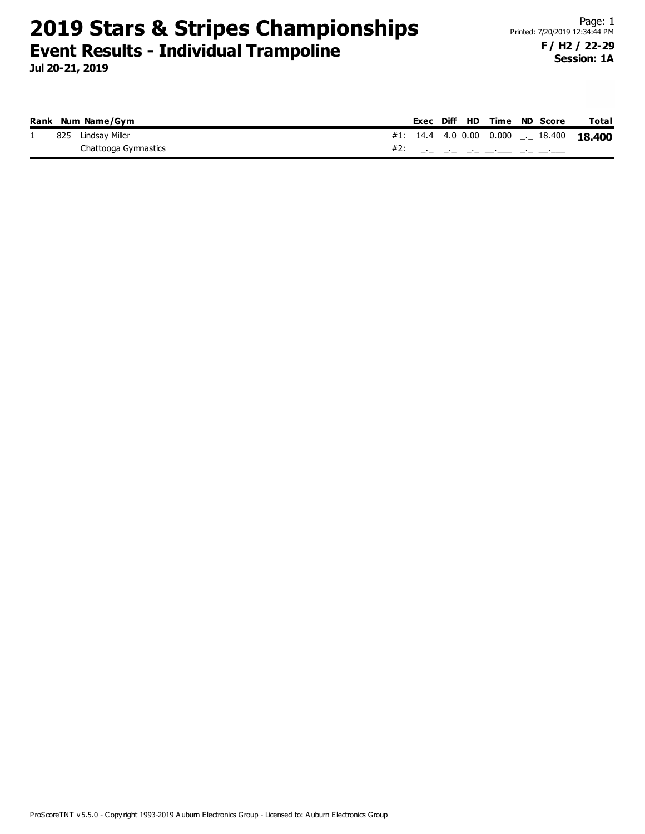**Jul 20-21, 2019**

|          |     | Rank Num Name/Gym    |  |  |  | Exec Diff HD Time ND Score            | <b>Total</b> |
|----------|-----|----------------------|--|--|--|---------------------------------------|--------------|
| <b>.</b> | 825 | Lindsav Miller       |  |  |  | #1: 14.4 4.0 0.00 0.000 $\_\_$ 18.400 | 18.400       |
|          |     | Chattooga Gymnastics |  |  |  |                                       |              |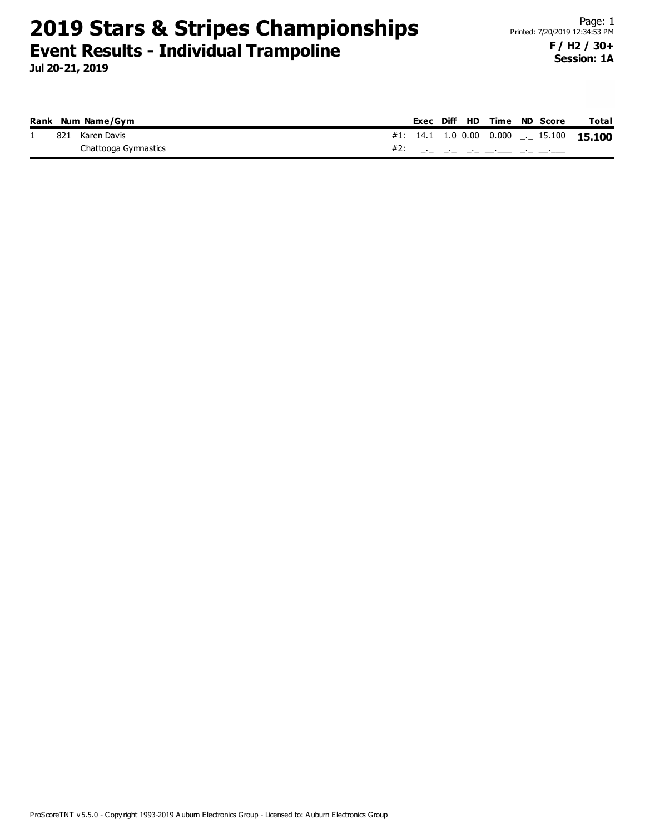**Jul 20-21, 2019**

|  | Rank Num Name/Gym    |  |  |  | Exec Diff HD Time ND Score | <b>Total</b>                             |
|--|----------------------|--|--|--|----------------------------|------------------------------------------|
|  | 821 Karen Davis      |  |  |  |                            | #1: 14.1 1.0 0.00 0.000 __ 15.100 15.100 |
|  | Chattooga Gymnastics |  |  |  |                            |                                          |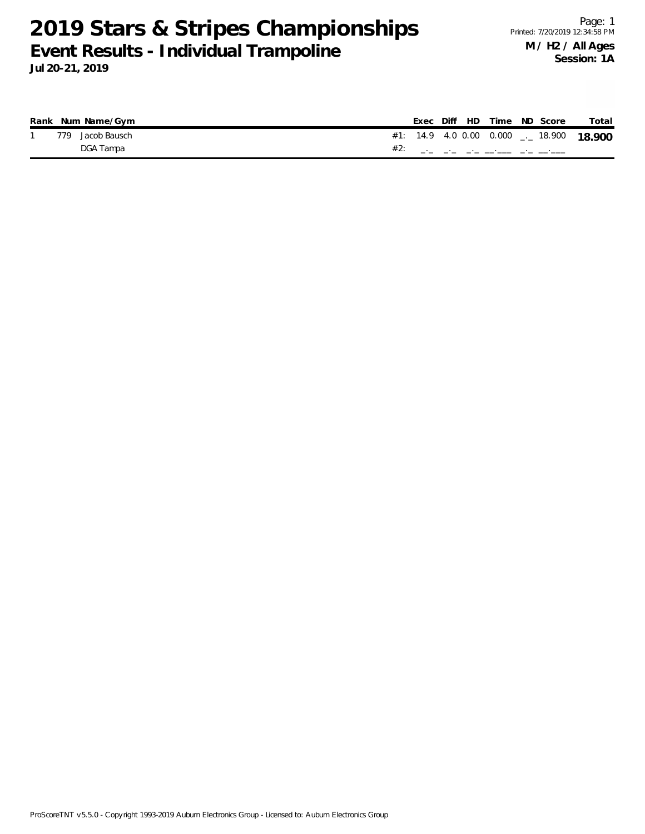|     | Rank Num Name/Gym |     |  | Exec Diff HD Time ND Score |                                    | Total  |
|-----|-------------------|-----|--|----------------------------|------------------------------------|--------|
| 779 | Jacob Bausch      |     |  |                            | #1: 14.9 4.0 0.00 0.000 ___ 18.900 | 18.900 |
|     | DGA Tampa         | #2: |  |                            |                                    |        |